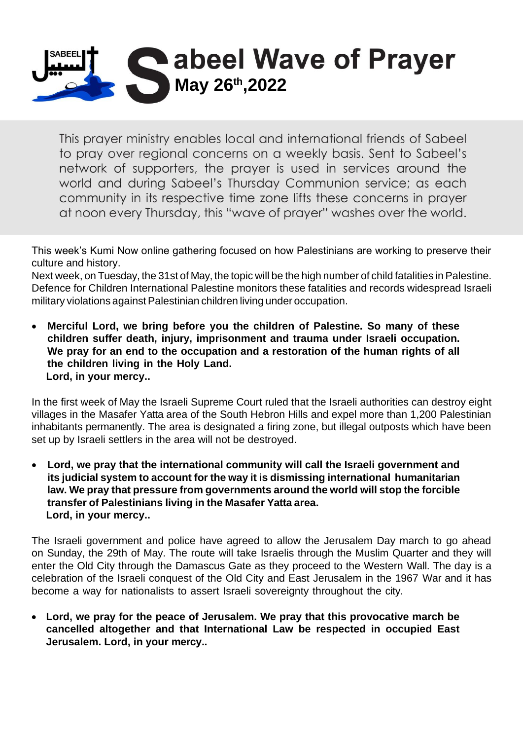

This prayer ministry enables local and international friends of Sabeel to pray over regional concerns on a weekly basis. Sent to Sabeel's network of supporters, the prayer is used in services around the world and during Sabeel's Thursday Communion service; as each community in its respective time zone lifts these concerns in prayer at noon every Thursday, this "wave of prayer" washes over the world.

This week's Kumi Now online gathering focused on how Palestinians are working to preserve their culture and history.

Next week, on Tuesday, the 31st of May, the topic will be the high number of child fatalities in Palestine. Defence for Children International Palestine monitors these fatalities and records widespread Israeli military violations against Palestinian children living under occupation.

• **Merciful Lord, we bring before you the children of Palestine. So many of these children suffer death, injury, imprisonment and trauma under Israeli occupation. We pray for an end to the occupation and a restoration of the human rights of all the children living in the Holy Land. Lord, in your mercy..**

In the first week of May the Israeli Supreme Court ruled that the Israeli authorities can destroy eight villages in the Masafer Yatta area of the South Hebron Hills and expel more than 1,200 Palestinian inhabitants permanently. The area is designated a firing zone, but illegal outposts which have been set up by Israeli settlers in the area will not be destroyed.

• **Lord, we pray that the international community will call the Israeli government and its judicial system to account for the way it is dismissing international humanitarian law. We pray that pressure from governments around the world will stop the forcible transfer of Palestinians living in the Masafer Yatta area. Lord, in your mercy..**

The Israeli government and police have agreed to allow the Jerusalem Day march to go ahead on Sunday, the 29th of May. The route will take Israelis through the Muslim Quarter and they will enter the Old City through the Damascus Gate as they proceed to the Western Wall. The day is a celebration of the Israeli conquest of the Old City and East Jerusalem in the 1967 War and it has become a way for nationalists to assert Israeli sovereignty throughout the city.

• **Lord, we pray for the peace of Jerusalem. We pray that this provocative march be cancelled altogether and that International Law be respected in occupied East Jerusalem. Lord, in your mercy..**